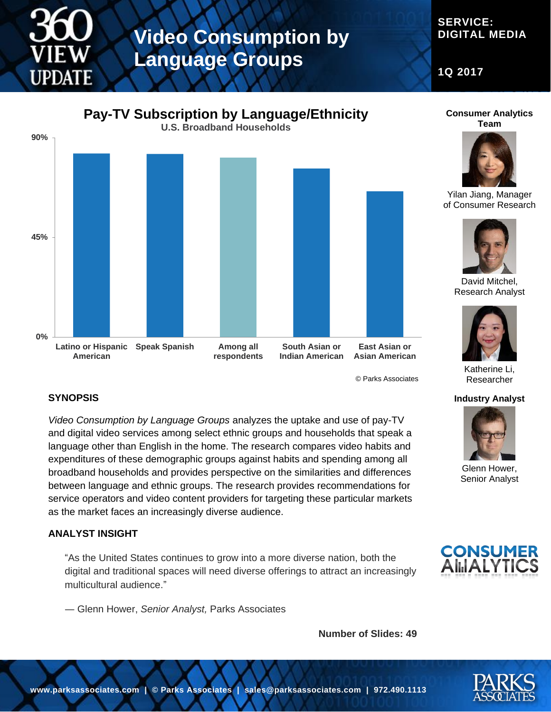# **Video Consumption by Language Groups**

# **SERVICE: DIGITAL MEDIA**

**1Q 2017**



© Parks Associates

# **SYNOPSIS**

*Video Consumption by Language Groups* analyzes the uptake and use of pay-TV and digital video services among select ethnic groups and households that speak a language other than English in the home. The research compares video habits and expenditures of these demographic groups against habits and spending among all broadband households and provides perspective on the similarities and differences between language and ethnic groups. The research provides recommendations for service operators and video content providers for targeting these particular markets as the market faces an increasingly diverse audience.

## **ANALYST INSIGHT**

"As the United States continues to grow into a more diverse nation, both the digital and traditional spaces will need diverse offerings to attract an increasingly multicultural audience."

― Glenn Hower, *Senior Analyst,* Parks Associates

**Number of Slides: 49**



Researcher

**Industry Analyst**

Glenn Hower, Senior Analyst

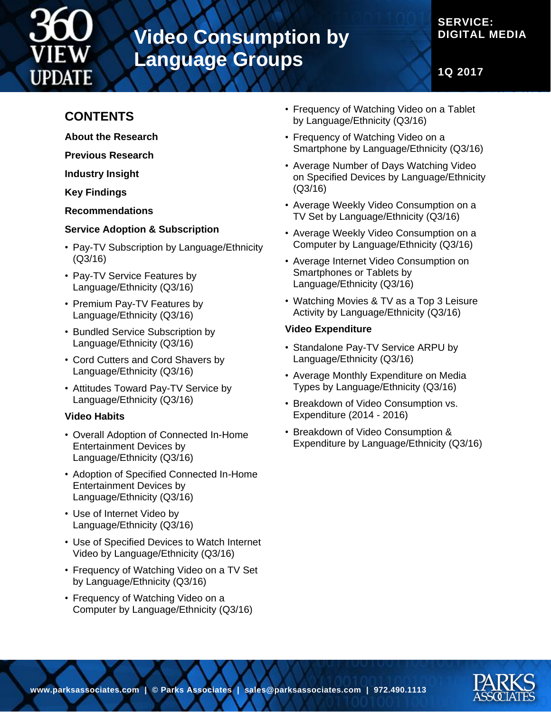

# **Video Consumption by Language Groups**

# **SERVICE: DIGITAL MEDIA**

**1Q 2017**

# **CONTENTS**

- **About the Research**
- **Previous Research**

**Industry Insight**

**Key Findings**

**Recommendations**

## **Service Adoption & Subscription**

- Pay-TV Subscription by Language/Ethnicity (Q3/16)
- Pay-TV Service Features by Language/Ethnicity (Q3/16)
- Premium Pay-TV Features by Language/Ethnicity (Q3/16)
- Bundled Service Subscription by Language/Ethnicity (Q3/16)
- Cord Cutters and Cord Shavers by Language/Ethnicity (Q3/16)
- Attitudes Toward Pay-TV Service by Language/Ethnicity (Q3/16)

## **Video Habits**

- Overall Adoption of Connected In-Home Entertainment Devices by Language/Ethnicity (Q3/16)
- Adoption of Specified Connected In-Home Entertainment Devices by Language/Ethnicity (Q3/16)
- Use of Internet Video by Language/Ethnicity (Q3/16)
- Use of Specified Devices to Watch Internet Video by Language/Ethnicity (Q3/16)
- Frequency of Watching Video on a TV Set by Language/Ethnicity (Q3/16)
- Frequency of Watching Video on a Computer by Language/Ethnicity (Q3/16)
- Frequency of Watching Video on a Tablet by Language/Ethnicity (Q3/16)
- Frequency of Watching Video on a Smartphone by Language/Ethnicity (Q3/16)
- Average Number of Days Watching Video on Specified Devices by Language/Ethnicity (Q3/16)
- Average Weekly Video Consumption on a TV Set by Language/Ethnicity (Q3/16)
- Average Weekly Video Consumption on a Computer by Language/Ethnicity (Q3/16)
- Average Internet Video Consumption on Smartphones or Tablets by Language/Ethnicity (Q3/16)
- Watching Movies & TV as a Top 3 Leisure Activity by Language/Ethnicity (Q3/16)

## **Video Expenditure**

- Standalone Pay-TV Service ARPU by Language/Ethnicity (Q3/16)
- Average Monthly Expenditure on Media Types by Language/Ethnicity (Q3/16)
- Breakdown of Video Consumption vs. Expenditure (2014 - 2016)
- Breakdown of Video Consumption & Expenditure by Language/Ethnicity (Q3/16)